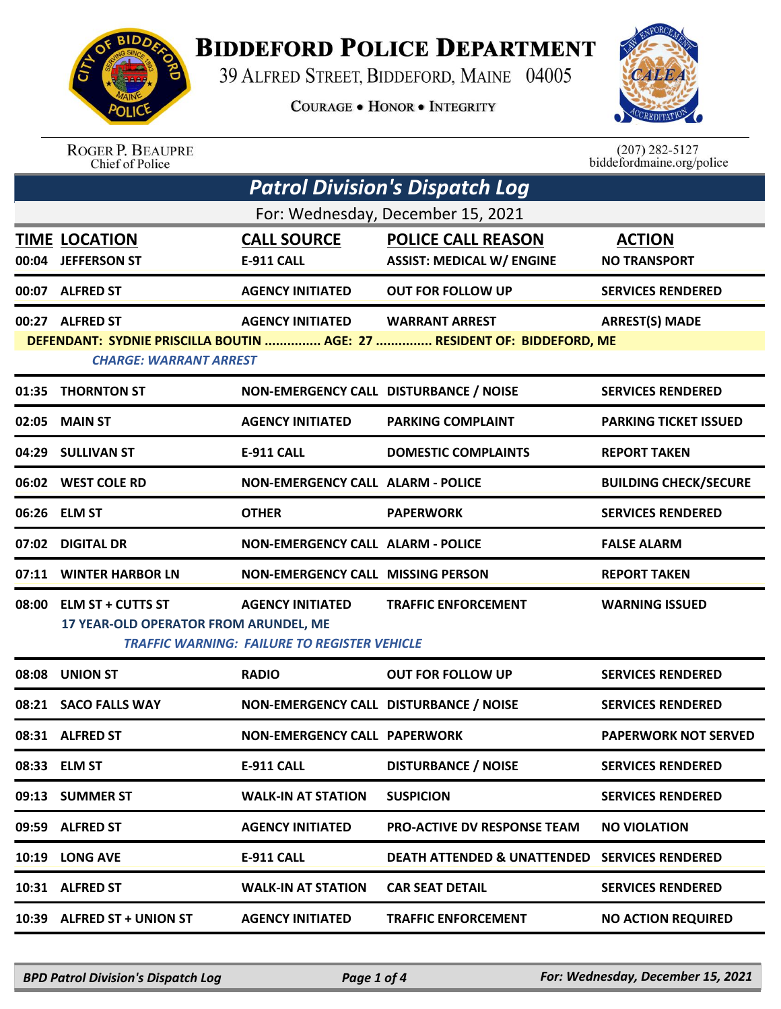

## **BIDDEFORD POLICE DEPARTMENT**

39 ALFRED STREET, BIDDEFORD, MAINE 04005

**COURAGE . HONOR . INTEGRITY** 



ROGER P. BEAUPRE<br>Chief of Police

 $(207)$  282-5127<br>biddefordmaine.org/police

| <b>Patrol Division's Dispatch Log</b> |                                                                  |                                                                                |                                                                                                  |                                      |  |
|---------------------------------------|------------------------------------------------------------------|--------------------------------------------------------------------------------|--------------------------------------------------------------------------------------------------|--------------------------------------|--|
| For: Wednesday, December 15, 2021     |                                                                  |                                                                                |                                                                                                  |                                      |  |
| 00:04                                 | <b>TIME LOCATION</b><br><b>JEFFERSON ST</b>                      | <b>CALL SOURCE</b><br>E-911 CALL                                               | <b>POLICE CALL REASON</b><br><b>ASSIST: MEDICAL W/ ENGINE</b>                                    | <b>ACTION</b><br><b>NO TRANSPORT</b> |  |
| 00:07                                 | <b>ALFRED ST</b>                                                 | <b>AGENCY INITIATED</b>                                                        | <b>OUT FOR FOLLOW UP</b>                                                                         | <b>SERVICES RENDERED</b>             |  |
|                                       | 00:27 ALFRED ST<br><b>CHARGE: WARRANT ARREST</b>                 | <b>AGENCY INITIATED</b>                                                        | <b>WARRANT ARREST</b><br>DEFENDANT: SYDNIE PRISCILLA BOUTIN  AGE: 27  RESIDENT OF: BIDDEFORD, ME | <b>ARREST(S) MADE</b>                |  |
|                                       | 01:35 THORNTON ST                                                | NON-EMERGENCY CALL DISTURBANCE / NOISE                                         |                                                                                                  | <b>SERVICES RENDERED</b>             |  |
| 02:05                                 | <b>MAIN ST</b>                                                   | <b>AGENCY INITIATED</b>                                                        | <b>PARKING COMPLAINT</b>                                                                         | <b>PARKING TICKET ISSUED</b>         |  |
|                                       | 04:29 SULLIVAN ST                                                | <b>E-911 CALL</b>                                                              | <b>DOMESTIC COMPLAINTS</b>                                                                       | <b>REPORT TAKEN</b>                  |  |
|                                       | 06:02 WEST COLE RD                                               | <b>NON-EMERGENCY CALL ALARM - POLICE</b>                                       |                                                                                                  | <b>BUILDING CHECK/SECURE</b>         |  |
|                                       | 06:26 ELM ST                                                     | <b>OTHER</b>                                                                   | <b>PAPERWORK</b>                                                                                 | <b>SERVICES RENDERED</b>             |  |
| 07:02                                 | <b>DIGITAL DR</b>                                                | <b>NON-EMERGENCY CALL ALARM - POLICE</b>                                       |                                                                                                  | <b>FALSE ALARM</b>                   |  |
| 07:11                                 | <b>WINTER HARBOR LN</b>                                          | <b>NON-EMERGENCY CALL MISSING PERSON</b>                                       |                                                                                                  | <b>REPORT TAKEN</b>                  |  |
|                                       | 08:00 ELM ST + CUTTS ST<br>17 YEAR-OLD OPERATOR FROM ARUNDEL, ME | <b>AGENCY INITIATED</b><br><b>TRAFFIC WARNING: FAILURE TO REGISTER VEHICLE</b> | <b>TRAFFIC ENFORCEMENT</b>                                                                       | <b>WARNING ISSUED</b>                |  |
| 08:08                                 | <b>UNION ST</b>                                                  | <b>RADIO</b>                                                                   | <b>OUT FOR FOLLOW UP</b>                                                                         | <b>SERVICES RENDERED</b>             |  |
|                                       | 08:21 SACO FALLS WAY                                             | NON-EMERGENCY CALL DISTURBANCE / NOISE                                         |                                                                                                  | <b>SERVICES RENDERED</b>             |  |
|                                       | 08:31 ALFRED ST                                                  | <b>NON-EMERGENCY CALL PAPERWORK</b>                                            |                                                                                                  | <b>PAPERWORK NOT SERVED</b>          |  |
|                                       | 08:33 ELM ST                                                     | <b>E-911 CALL</b>                                                              | <b>DISTURBANCE / NOISE</b>                                                                       | <b>SERVICES RENDERED</b>             |  |
|                                       | 09:13 SUMMER ST                                                  | <b>WALK-IN AT STATION</b>                                                      | <b>SUSPICION</b>                                                                                 | <b>SERVICES RENDERED</b>             |  |
|                                       | 09:59 ALFRED ST                                                  | <b>AGENCY INITIATED</b>                                                        | PRO-ACTIVE DV RESPONSE TEAM                                                                      | <b>NO VIOLATION</b>                  |  |
|                                       | 10:19 LONG AVE                                                   | <b>E-911 CALL</b>                                                              | <b>DEATH ATTENDED &amp; UNATTENDED SERVICES RENDERED</b>                                         |                                      |  |
|                                       | 10:31 ALFRED ST                                                  | <b>WALK-IN AT STATION</b>                                                      | <b>CAR SEAT DETAIL</b>                                                                           | <b>SERVICES RENDERED</b>             |  |
|                                       | 10:39 ALFRED ST + UNION ST                                       | <b>AGENCY INITIATED</b>                                                        | <b>TRAFFIC ENFORCEMENT</b>                                                                       | <b>NO ACTION REQUIRED</b>            |  |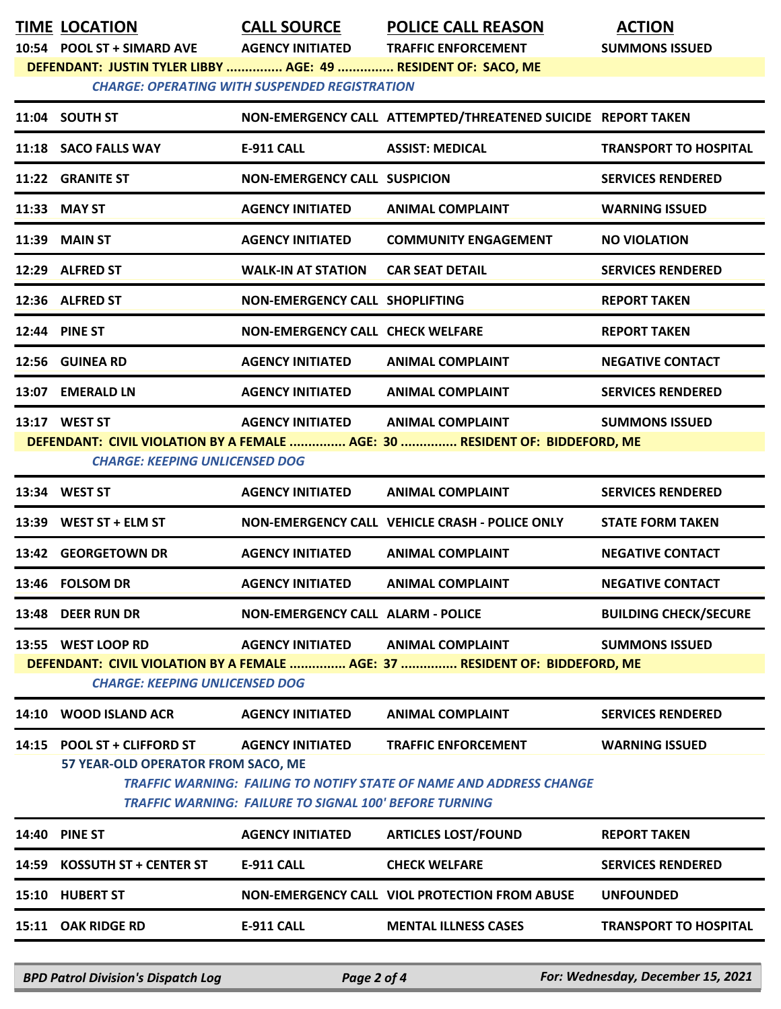|       | TIME LOCATION                                                                                                                               |                                                      | <b>CALL SOURCE POLICE CALL REASON</b>                                       | <b>ACTION</b>                |  |
|-------|---------------------------------------------------------------------------------------------------------------------------------------------|------------------------------------------------------|-----------------------------------------------------------------------------|------------------------------|--|
|       | 10:54 POOL ST + SIMARD AVE AGENCY INITIATED<br>DEFENDANT: JUSTIN TYLER LIBBY  AGE: 49  RESIDENT OF: SACO, ME                                |                                                      | <b>TRAFFIC ENFORCEMENT</b>                                                  | <b>SUMMONS ISSUED</b>        |  |
|       |                                                                                                                                             | <b>CHARGE: OPERATING WITH SUSPENDED REGISTRATION</b> |                                                                             |                              |  |
|       | 11:04 SOUTH ST                                                                                                                              |                                                      | NON-EMERGENCY CALL ATTEMPTED/THREATENED SUICIDE REPORT TAKEN                |                              |  |
|       | 11:18 SACO FALLS WAY                                                                                                                        | <b>E-911 CALL</b>                                    | <b>ASSIST: MEDICAL</b>                                                      | <b>TRANSPORT TO HOSPITAL</b> |  |
|       | 11:22 GRANITE ST                                                                                                                            | <b>NON-EMERGENCY CALL SUSPICION</b>                  |                                                                             | <b>SERVICES RENDERED</b>     |  |
|       | 11:33 MAY ST                                                                                                                                | <b>AGENCY INITIATED</b>                              | <b>ANIMAL COMPLAINT</b>                                                     | <b>WARNING ISSUED</b>        |  |
|       | 11:39 MAIN ST                                                                                                                               | <b>AGENCY INITIATED</b>                              | <b>COMMUNITY ENGAGEMENT</b>                                                 | <b>NO VIOLATION</b>          |  |
|       | 12:29 ALFRED ST                                                                                                                             | <b>WALK-IN AT STATION</b>                            | <b>CAR SEAT DETAIL</b>                                                      | <b>SERVICES RENDERED</b>     |  |
|       | 12:36 ALFRED ST                                                                                                                             | NON-EMERGENCY CALL SHOPLIFTING                       |                                                                             | <b>REPORT TAKEN</b>          |  |
|       | 12:44 PINE ST                                                                                                                               | <b>NON-EMERGENCY CALL CHECK WELFARE</b>              |                                                                             | <b>REPORT TAKEN</b>          |  |
|       | 12:56 GUINEA RD                                                                                                                             | <b>AGENCY INITIATED</b>                              | <b>ANIMAL COMPLAINT</b>                                                     | <b>NEGATIVE CONTACT</b>      |  |
|       | 13:07 EMERALD LN                                                                                                                            | <b>AGENCY INITIATED</b>                              | <b>ANIMAL COMPLAINT</b>                                                     | <b>SERVICES RENDERED</b>     |  |
|       | 13:17 WEST ST                                                                                                                               | <b>AGENCY INITIATED</b>                              | <b>ANIMAL COMPLAINT</b>                                                     | <b>SUMMONS ISSUED</b>        |  |
|       |                                                                                                                                             |                                                      | DEFENDANT: CIVIL VIOLATION BY A FEMALE  AGE: 30  RESIDENT OF: BIDDEFORD, ME |                              |  |
|       | <b>CHARGE: KEEPING UNLICENSED DOG</b>                                                                                                       |                                                      |                                                                             |                              |  |
|       | 13:34 WEST ST                                                                                                                               | <b>AGENCY INITIATED</b>                              | <b>ANIMAL COMPLAINT</b>                                                     | <b>SERVICES RENDERED</b>     |  |
|       | 13:39 WEST ST + ELM ST                                                                                                                      |                                                      | NON-EMERGENCY CALL VEHICLE CRASH - POLICE ONLY                              | <b>STATE FORM TAKEN</b>      |  |
|       | 13:42 GEORGETOWN DR                                                                                                                         | <b>AGENCY INITIATED</b>                              | <b>ANIMAL COMPLAINT</b>                                                     | <b>NEGATIVE CONTACT</b>      |  |
|       | 13:46 FOLSOM DR                                                                                                                             | AGENCY INITIATED ANIMAL COMPLAINT                    |                                                                             | <b>NEGATIVE CONTACT</b>      |  |
|       | 13:48 DEER RUN DR                                                                                                                           | NON-EMERGENCY CALL ALARM - POLICE                    |                                                                             | <b>BUILDING CHECK/SECURE</b> |  |
|       | 13:55 WEST LOOP RD                                                                                                                          | <b>AGENCY INITIATED</b>                              | <b>ANIMAL COMPLAINT</b>                                                     | <b>SUMMONS ISSUED</b>        |  |
|       |                                                                                                                                             |                                                      | DEFENDANT: CIVIL VIOLATION BY A FEMALE  AGE: 37  RESIDENT OF: BIDDEFORD, ME |                              |  |
|       | <b>CHARGE: KEEPING UNLICENSED DOG</b>                                                                                                       |                                                      |                                                                             |                              |  |
|       | 14:10 WOOD ISLAND ACR                                                                                                                       | <b>AGENCY INITIATED</b>                              | <b>ANIMAL COMPLAINT</b>                                                     | <b>SERVICES RENDERED</b>     |  |
|       | 14:15 POOL ST + CLIFFORD ST                                                                                                                 | <b>AGENCY INITIATED</b>                              | <b>TRAFFIC ENFORCEMENT</b>                                                  | <b>WARNING ISSUED</b>        |  |
|       | 57 YEAR-OLD OPERATOR FROM SACO, ME                                                                                                          |                                                      |                                                                             |                              |  |
|       | <b>TRAFFIC WARNING: FAILING TO NOTIFY STATE OF NAME AND ADDRESS CHANGE</b><br><b>TRAFFIC WARNING: FAILURE TO SIGNAL 100' BEFORE TURNING</b> |                                                      |                                                                             |                              |  |
| 14:40 | <b>PINE ST</b>                                                                                                                              | <b>AGENCY INITIATED</b>                              | <b>ARTICLES LOST/FOUND</b>                                                  | <b>REPORT TAKEN</b>          |  |
|       | 14:59 KOSSUTH ST + CENTER ST                                                                                                                | <b>E-911 CALL</b>                                    | <b>CHECK WELFARE</b>                                                        | <b>SERVICES RENDERED</b>     |  |
| 15:10 | <b>HUBERT ST</b>                                                                                                                            |                                                      | NON-EMERGENCY CALL VIOL PROTECTION FROM ABUSE                               | <b>UNFOUNDED</b>             |  |
|       | 15:11 OAK RIDGE RD                                                                                                                          | <b>E-911 CALL</b>                                    | <b>MENTAL ILLNESS CASES</b>                                                 | <b>TRANSPORT TO HOSPITAL</b> |  |
|       |                                                                                                                                             |                                                      |                                                                             |                              |  |

*BPD Patrol Division's Dispatch Log Page 2 of 4 For: Wednesday, December 15, 2021*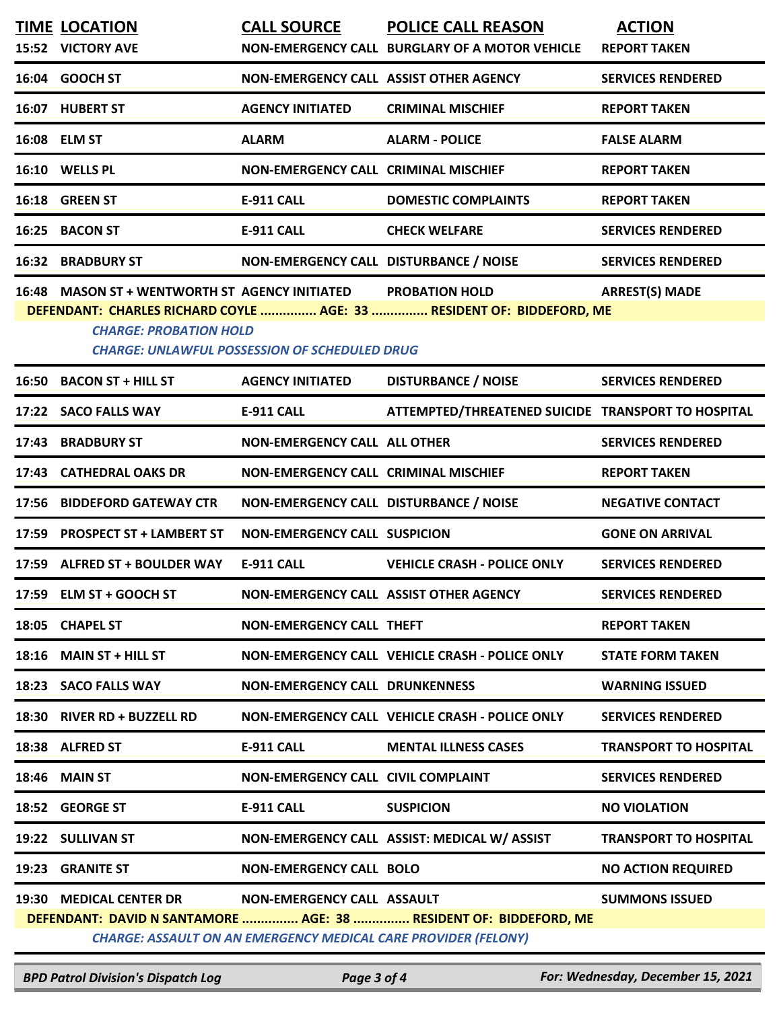|                                                                                                                                                                                                                                                                    | <b>TIME LOCATION</b>           | <b>CALL SOURCE</b>                        | <b>POLICE CALL REASON</b>                          | <b>ACTION</b>                |  |
|--------------------------------------------------------------------------------------------------------------------------------------------------------------------------------------------------------------------------------------------------------------------|--------------------------------|-------------------------------------------|----------------------------------------------------|------------------------------|--|
|                                                                                                                                                                                                                                                                    | 15:52 VICTORY AVE              |                                           | NON-EMERGENCY CALL BURGLARY OF A MOTOR VEHICLE     | <b>REPORT TAKEN</b>          |  |
|                                                                                                                                                                                                                                                                    | 16:04 GOOCH ST                 | NON-EMERGENCY CALL ASSIST OTHER AGENCY    |                                                    | <b>SERVICES RENDERED</b>     |  |
|                                                                                                                                                                                                                                                                    | 16:07 HUBERT ST                | <b>AGENCY INITIATED</b>                   | <b>CRIMINAL MISCHIEF</b>                           | <b>REPORT TAKEN</b>          |  |
|                                                                                                                                                                                                                                                                    | 16:08 ELM ST                   | <b>ALARM</b>                              | <b>ALARM - POLICE</b>                              | <b>FALSE ALARM</b>           |  |
|                                                                                                                                                                                                                                                                    | 16:10 WELLS PL                 | NON-EMERGENCY CALL CRIMINAL MISCHIEF      |                                                    | <b>REPORT TAKEN</b>          |  |
|                                                                                                                                                                                                                                                                    | 16:18 GREEN ST                 | E-911 CALL                                | <b>DOMESTIC COMPLAINTS</b>                         | <b>REPORT TAKEN</b>          |  |
|                                                                                                                                                                                                                                                                    | 16:25 BACON ST                 | <b>E-911 CALL</b>                         | <b>CHECK WELFARE</b>                               | <b>SERVICES RENDERED</b>     |  |
|                                                                                                                                                                                                                                                                    | <b>16:32 BRADBURY ST</b>       | NON-EMERGENCY CALL DISTURBANCE / NOISE    |                                                    | <b>SERVICES RENDERED</b>     |  |
| <b>ARREST(S) MADE</b><br>16:48 MASON ST + WENTWORTH ST AGENCY INITIATED<br><b>PROBATION HOLD</b><br>DEFENDANT: CHARLES RICHARD COYLE  AGE: 33  RESIDENT OF: BIDDEFORD, ME<br><b>CHARGE: PROBATION HOLD</b><br><b>CHARGE: UNLAWFUL POSSESSION OF SCHEDULED DRUG</b> |                                |                                           |                                                    |                              |  |
|                                                                                                                                                                                                                                                                    | 16:50 BACON ST + HILL ST       | <b>AGENCY INITIATED</b>                   | <b>DISTURBANCE / NOISE</b>                         | <b>SERVICES RENDERED</b>     |  |
|                                                                                                                                                                                                                                                                    | 17:22 SACO FALLS WAY           | E-911 CALL                                | ATTEMPTED/THREATENED SUICIDE TRANSPORT TO HOSPITAL |                              |  |
|                                                                                                                                                                                                                                                                    | 17:43 BRADBURY ST              | <b>NON-EMERGENCY CALL ALL OTHER</b>       |                                                    | <b>SERVICES RENDERED</b>     |  |
|                                                                                                                                                                                                                                                                    | 17:43 CATHEDRAL OAKS DR        | NON-EMERGENCY CALL CRIMINAL MISCHIEF      |                                                    | <b>REPORT TAKEN</b>          |  |
|                                                                                                                                                                                                                                                                    | 17:56 BIDDEFORD GATEWAY CTR    | NON-EMERGENCY CALL DISTURBANCE / NOISE    |                                                    | <b>NEGATIVE CONTACT</b>      |  |
|                                                                                                                                                                                                                                                                    | 17:59 PROSPECT ST + LAMBERT ST | <b>NON-EMERGENCY CALL SUSPICION</b>       |                                                    | <b>GONE ON ARRIVAL</b>       |  |
|                                                                                                                                                                                                                                                                    | 17:59 ALFRED ST + BOULDER WAY  | E-911 CALL                                | <b>VEHICLE CRASH - POLICE ONLY</b>                 | <b>SERVICES RENDERED</b>     |  |
|                                                                                                                                                                                                                                                                    | 17:59 ELM ST + GOOCH ST        | NON-EMERGENCY CALL ASSIST OTHER AGENCY    |                                                    | <b>SERVICES RENDERED</b>     |  |
|                                                                                                                                                                                                                                                                    | 18:05 CHAPEL ST                | <b>NON-EMERGENCY CALL THEFT</b>           |                                                    | <b>REPORT TAKEN</b>          |  |
|                                                                                                                                                                                                                                                                    | 18:16 MAIN ST + HILL ST        |                                           | NON-EMERGENCY CALL VEHICLE CRASH - POLICE ONLY     | <b>STATE FORM TAKEN</b>      |  |
|                                                                                                                                                                                                                                                                    | 18:23 SACO FALLS WAY           | <b>NON-EMERGENCY CALL DRUNKENNESS</b>     |                                                    | <b>WARNING ISSUED</b>        |  |
|                                                                                                                                                                                                                                                                    | 18:30 RIVER RD + BUZZELL RD    |                                           | NON-EMERGENCY CALL VEHICLE CRASH - POLICE ONLY     | <b>SERVICES RENDERED</b>     |  |
|                                                                                                                                                                                                                                                                    | 18:38 ALFRED ST                | E-911 CALL                                | <b>MENTAL ILLNESS CASES</b>                        | <b>TRANSPORT TO HOSPITAL</b> |  |
|                                                                                                                                                                                                                                                                    | 18:46 MAIN ST                  | <b>NON-EMERGENCY CALL CIVIL COMPLAINT</b> |                                                    | <b>SERVICES RENDERED</b>     |  |
|                                                                                                                                                                                                                                                                    | 18:52 GEORGE ST                | E-911 CALL                                | <b>SUSPICION</b>                                   | <b>NO VIOLATION</b>          |  |
|                                                                                                                                                                                                                                                                    | 19:22 SULLIVAN ST              |                                           | NON-EMERGENCY CALL ASSIST: MEDICAL W/ ASSIST       | <b>TRANSPORT TO HOSPITAL</b> |  |
|                                                                                                                                                                                                                                                                    | 19:23 GRANITE ST               | <b>NON-EMERGENCY CALL BOLO</b>            |                                                    | <b>NO ACTION REQUIRED</b>    |  |
| 19:30 MEDICAL CENTER DR<br>NON-EMERGENCY CALL ASSAULT<br><b>SUMMONS ISSUED</b><br>DEFENDANT: DAVID N SANTAMORE  AGE: 38  RESIDENT OF: BIDDEFORD, ME<br><b>CHARGE: ASSAULT ON AN EMERGENCY MEDICAL CARE PROVIDER (FELONY)</b>                                       |                                |                                           |                                                    |                              |  |

*BPD Patrol Division's Dispatch Log Page 3 of 4 For: Wednesday, December 15, 2021*